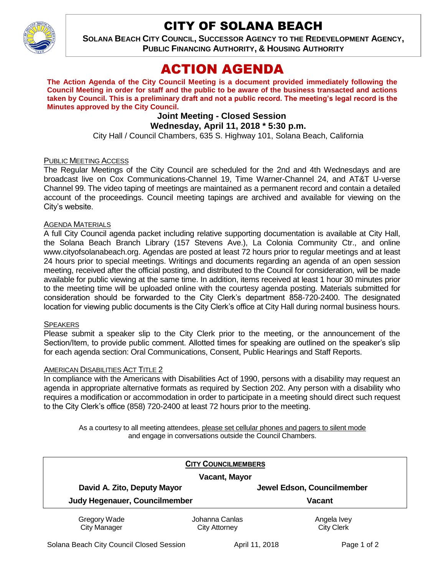CITY OF SOLANA BEACH



**SOLANA BEACH CITY COUNCIL, SUCCESSOR AGENCY TO THE REDEVELOPMENT AGENCY, PUBLIC FINANCING AUTHORITY, & HOUSING AUTHORITY** 

# ACTION AGENDA

**The Action Agenda of the City Council Meeting is a document provided immediately following the Council Meeting in order for staff and the public to be aware of the business transacted and actions taken by Council. This is a preliminary draft and not a public record. The meeting's legal record is the Minutes approved by the City Council.**

# **Joint Meeting - Closed Session Wednesday, April 11, 2018 \* 5:30 p.m.**

City Hall / Council Chambers, 635 S. Highway 101, Solana Beach, California

## PUBLIC MEETING ACCESS

The Regular Meetings of the City Council are scheduled for the 2nd and 4th Wednesdays and are broadcast live on Cox Communications-Channel 19, Time Warner-Channel 24, and AT&T U-verse Channel 99. The video taping of meetings are maintained as a permanent record and contain a detailed account of the proceedings. Council meeting tapings are archived and available for viewing on the City's website.

### AGENDA MATERIALS

A full City Council agenda packet including relative supporting documentation is available at City Hall, the Solana Beach Branch Library (157 Stevens Ave.), La Colonia Community Ctr., and online www.cityofsolanabeach.org. Agendas are posted at least 72 hours prior to regular meetings and at least 24 hours prior to special meetings. Writings and documents regarding an agenda of an open session meeting, received after the official posting, and distributed to the Council for consideration, will be made available for public viewing at the same time. In addition, items received at least 1 hour 30 minutes prior to the meeting time will be uploaded online with the courtesy agenda posting. Materials submitted for consideration should be forwarded to the City Clerk's department 858-720-2400. The designated location for viewing public documents is the City Clerk's office at City Hall during normal business hours.

#### **SPEAKERS**

Please submit a speaker slip to the City Clerk prior to the meeting, or the announcement of the Section/Item, to provide public comment. Allotted times for speaking are outlined on the speaker's slip for each agenda section: Oral Communications, Consent, Public Hearings and Staff Reports.

#### AMERICAN DISABILITIES ACT TITLE 2

In compliance with the Americans with Disabilities Act of 1990, persons with a disability may request an agenda in appropriate alternative formats as required by Section 202. Any person with a disability who requires a modification or accommodation in order to participate in a meeting should direct such request to the City Clerk's office (858) 720-2400 at least 72 hours prior to the meeting.

As a courtesy to all meeting attendees, please set cellular phones and pagers to silent mode and engage in conversations outside the Council Chambers.

|                                                              | <b>CITY COUNCILMEMBERS</b> |                                             |
|--------------------------------------------------------------|----------------------------|---------------------------------------------|
| Vacant, Mayor                                                |                            |                                             |
| David A. Zito, Deputy Mayor<br>Judy Hegenauer, Councilmember |                            | Jewel Edson, Councilmember<br><b>Vacant</b> |
|                                                              |                            |                                             |
| <b>City Manager</b>                                          | <b>City Attorney</b>       | <b>City Clerk</b>                           |